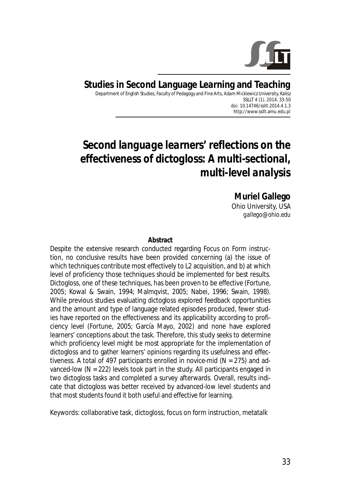

#### **Studies in Second Language Learning and Teaching**  Department of English Studies, Faculty of Pedagogy and Fine Arts, Adam Mickiewicz University, Kalisz SSLLT 4 (1). 2014. 33-50 *doi: 10.14746/ssllt.2014.4.1.3* http://www.ssllt.amu.edu.pl

# *Second language learners' reflections on the effectiveness of dictogloss: A multi-sectional, multi-level analysis*

**Muriel Gallego**  Ohio University, USA *gallego@ohio.edu*

#### **Abstract**

Despite the extensive research conducted regarding Focus on Form instruction, no conclusive results have been provided concerning (a) the issue of which techniques contribute most effectively to L2 acquisition, and b) at which level of proficiency those techniques should be implemented for best results. Dictogloss, one of these techniques, has been proven to be effective (Fortune, 2005; Kowal & Swain, 1994; Malmqvist, 2005; Nabei, 1996; Swain, 1998). While previous studies evaluating dictogloss explored feedback opportunities and the amount and type of language related episodes produced, fewer studies have reported on the effectiveness and its applicability according to proficiency level (Fortune, 2005; García Mayo, 2002) and none have explored learners' conceptions about the task. Therefore, this study seeks to determine which proficiency level might be most appropriate for the implementation of dictogloss and to gather learners' opinions regarding its usefulness and effectiveness. A total of 497 participants enrolled in novice-mid ( $N = 275$ ) and advanced-low (N = 222) levels took part in the study. All participants engaged in two dictogloss tasks and completed a survey afterwards. Overall, results indicate that dictogloss was better received by advanced-low level students and that most students found it both useful and effective for learning.

*Keywords*: collaborative task, dictogloss, focus on form instruction, metatalk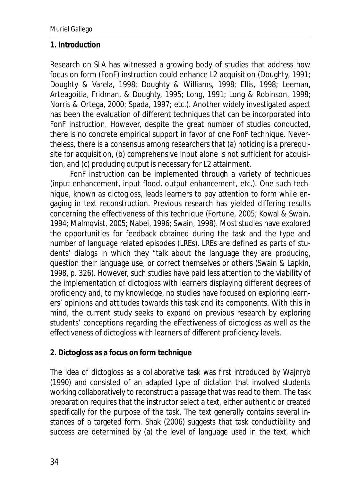## **1. Introduction**

Research on SLA has witnessed a growing body of studies that address how focus on form (FonF) instruction could enhance L2 acquisition (Doughty, 1991; Doughty & Varela, 1998; Doughty & Williams, 1998; Ellis, 1998; Leeman, Arteagoitia, Fridman, & Doughty, 1995; Long, 1991; Long & Robinson, 1998; Norris & Ortega, 2000; Spada, 1997; etc.). Another widely investigated aspect has been the evaluation of different techniques that can be incorporated into FonF instruction. However, despite the great number of studies conducted, there is no concrete empirical support in favor of one FonF technique. Nevertheless, there is a consensus among researchers that (a) noticing is a prerequisite for acquisition, (b) comprehensive input alone is not sufficient for acquisition, and (c) producing output is necessary for L2 attainment.

FonF instruction can be implemented through a variety of techniques (input enhancement, input flood, output enhancement, etc.). One such technique, known as dictogloss, leads learners to pay attention to form while engaging in text reconstruction. Previous research has yielded differing results concerning the effectiveness of this technique (Fortune, 2005; Kowal & Swain, 1994; Malmqvist, 2005; Nabei, 1996; Swain, 1998). Most studies have explored the opportunities for feedback obtained during the task and the type and number of language related episodes (LREs). LREs are defined as parts of students' dialogs in which they "talk about the language they are producing, question their language use, or correct themselves or others (Swain & Lapkin, 1998, p. 326). However, such studies have paid less attention to the viability of the implementation of dictogloss with learners displaying different degrees of proficiency and, to my knowledge, no studies have focused on exploring learners' opinions and attitudes towards this task and its components. With this in mind, the current study seeks to expand on previous research by exploring students' conceptions regarding the effectiveness of dictogloss as well as the effectiveness of dictogloss with learners of different proficiency levels.

## **2. Dictogloss as a focus on form technique**

The idea of dictogloss as a collaborative task was first introduced by Wajnryb (1990) and consisted of an adapted type of dictation that involved students working collaboratively to reconstruct a passage that was read to them. The task preparation requires that the instructor select a text, either authentic or created specifically for the purpose of the task. The text generally contains several instances of a targeted form. Shak (2006) suggests that task conductibility and success are determined by (a) the level of language used in the text, which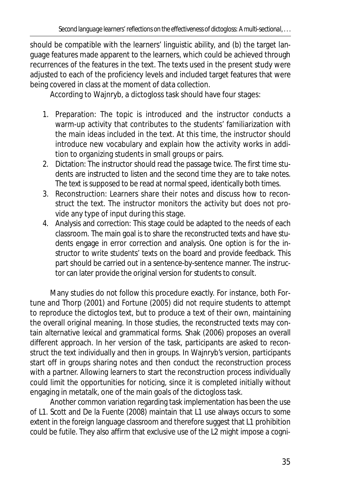should be compatible with the learners' linguistic ability, and (b) the target language features made apparent to the learners, which could be achieved through recurrences of the features in the text. The texts used in the present study were adjusted to each of the proficiency levels and included target features that were being covered in class at the moment of data collection.

According to Wajnryb, a dictogloss task should have four stages:

- 1. Preparation: The topic is introduced and the instructor conducts a warm-up activity that contributes to the students' familiarization with the main ideas included in the text. At this time, the instructor should introduce new vocabulary and explain how the activity works in addition to organizing students in small groups or pairs.
- 2. Dictation: The instructor should read the passage twice. The first time students are instructed to listen and the second time they are to take notes. The text is supposed to be read at normal speed, identically both times.
- 3. Reconstruction: Learners share their notes and discuss how to reconstruct the text. The instructor monitors the activity but does not provide any type of input during this stage.
- 4. Analysis and correction: This stage could be adapted to the needs of each classroom. The main goal is to share the reconstructed texts and have students engage in error correction and analysis. One option is for the instructor to write students' texts on the board and provide feedback. This part should be carried out in a sentence-by-sentence manner. The instructor can later provide the original version for students to consult.

Many studies do not follow this procedure exactly. For instance, both Fortune and Thorp (2001) and Fortune (2005) did not require students to attempt to reproduce the dictoglos text, but to produce a text of their own, maintaining the overall original meaning. In those studies, the reconstructed texts may contain alternative lexical and grammatical forms. Shak (2006) proposes an overall different approach. In her version of the task, participants are asked to reconstruct the text individually and then in groups. In Wajnryb's version, participants start off in groups sharing notes and then conduct the reconstruction process with a partner. Allowing learners to start the reconstruction process individually could limit the opportunities for noticing, since it is completed initially without engaging in metatalk, one of the main goals of the dictogloss task.

Another common variation regarding task implementation has been the use of L1. Scott and De la Fuente (2008) maintain that L1 use always occurs to some extent in the foreign language classroom and therefore suggest that L1 prohibition could be futile. They also affirm that exclusive use of the L2 might impose a cogni-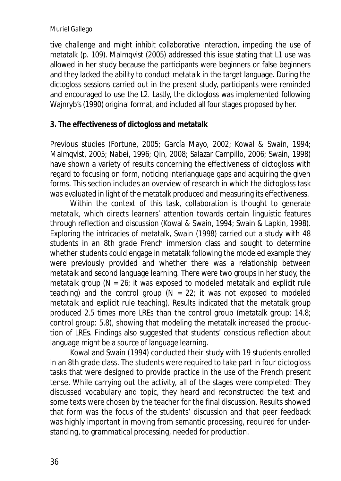tive challenge and might inhibit collaborative interaction, impeding the use of metatalk (p. 109). Malmqvist (2005) addressed this issue stating that L1 use was allowed in her study because the participants were beginners or false beginners and they lacked the ability to conduct metatalk in the target language. During the dictogloss sessions carried out in the present study, participants were reminded and encouraged to use the L2. Lastly, the dictogloss was implemented following Wajnryb's (1990) original format, and included all four stages proposed by her.

### **3. The effectiveness of dictogloss and metatalk**

Previous studies (Fortune, 2005; García Mayo, 2002; Kowal & Swain, 1994; Malmqvist, 2005; Nabei, 1996; Qin, 2008; Salazar Campillo, 2006; Swain, 1998) have shown a variety of results concerning the effectiveness of dictogloss with regard to focusing on form, noticing interlanguage gaps and acquiring the given forms. This section includes an overview of research in which the dictogloss task was evaluated in light of the metatalk produced and measuring its effectiveness.

Within the context of this task, collaboration is thought to generate metatalk, which directs learners' attention towards certain linguistic features through reflection and discussion (Kowal & Swain, 1994; Swain & Lapkin, 1998). Exploring the intricacies of metatalk, Swain (1998) carried out a study with 48 students in an 8th grade French immersion class and sought to determine whether students could engage in metatalk following the modeled example they were previously provided and whether there was a relationship between metatalk and second language learning. There were two groups in her study, the metatalk group (*N* = 26; it was exposed to modeled metatalk and explicit rule teaching) and the control group  $(N = 22)$ ; it was not exposed to modeled metatalk and explicit rule teaching). Results indicated that the metatalk group produced 2.5 times more LREs than the control group (metatalk group: 14.8; control group: 5.8), showing that modeling the metatalk increased the production of LREs. Findings also suggested that students' conscious reflection about language might be a source of language learning.

Kowal and Swain (1994) conducted their study with 19 students enrolled in an 8th grade class. The students were required to take part in four dictogloss tasks that were designed to provide practice in the use of the French present tense. While carrying out the activity, all of the stages were completed: They discussed vocabulary and topic, they heard and reconstructed the text and some texts were chosen by the teacher for the final discussion. Results showed that form was the focus of the students' discussion and that peer feedback was highly important in moving from semantic processing, required for understanding, to grammatical processing, needed for production.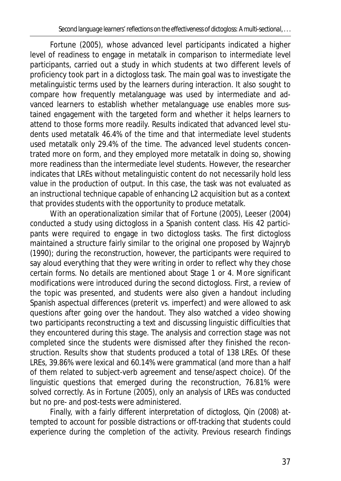Fortune (2005), whose advanced level participants indicated a higher level of readiness to engage in metatalk in comparison to intermediate level participants, carried out a study in which students at two different levels of proficiency took part in a dictogloss task. The main goal was to investigate the metalinguistic terms used by the learners during interaction. It also sought to compare how frequently metalanguage was used by intermediate and advanced learners to establish whether metalanguage use enables more sustained engagement with the targeted form and whether it helps learners to attend to those forms more readily. Results indicated that advanced level students used metatalk 46.4% of the time and that intermediate level students used metatalk only 29.4% of the time. The advanced level students concentrated more on form, and they employed more metatalk in doing so, showing more readiness than the intermediate level students. However, the researcher indicates that LREs without metalinguistic content do not necessarily hold less value in the production of output. In this case, the task was not evaluated as an instructional technique capable of enhancing L2 acquisition but as a context that provides students with the opportunity to produce metatalk.

With an operationalization similar that of Fortune (2005), Leeser (2004) conducted a study using dictogloss in a Spanish content class. His 42 participants were required to engage in two dictogloss tasks. The first dictogloss maintained a structure fairly similar to the original one proposed by Wajnryb (1990); during the reconstruction, however, the participants were required to say aloud everything that they were writing in order to reflect why they chose certain forms. No details are mentioned about Stage 1 or 4. More significant modifications were introduced during the second dictogloss. First, a review of the topic was presented, and students were also given a handout including Spanish aspectual differences (preterit vs. imperfect) and were allowed to ask questions after going over the handout. They also watched a video showing two participants reconstructing a text and discussing linguistic difficulties that they encountered during this stage. The analysis and correction stage was not completed since the students were dismissed after they finished the reconstruction. Results show that students produced a total of 138 LREs. Of these LREs, 39.86% were lexical and 60.14% were grammatical (and more than a half of them related to subject-verb agreement and tense/aspect choice). Of the linguistic questions that emerged during the reconstruction, 76.81% were solved correctly. As in Fortune (2005), only an analysis of LREs was conducted but no pre- and post-tests were administered.

Finally, with a fairly different interpretation of dictogloss, Qin (2008) attempted to account for possible distractions or off-tracking that students could experience during the completion of the activity. Previous research findings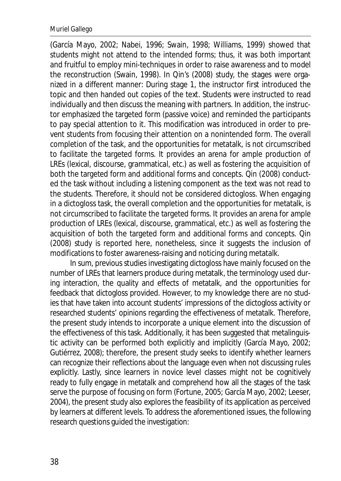(García Mayo, 2002; Nabei, 1996; Swain, 1998; Williams, 1999) showed that students might not attend to the intended forms; thus, it was both important and fruitful to employ mini-techniques in order to raise awareness and to model the reconstruction (Swain, 1998). In Qin's (2008) study, the stages were organized in a different manner: During stage 1, the instructor first introduced the topic and then handed out copies of the text. Students were instructed to read individually and then discuss the meaning with partners. In addition, the instructor emphasized the targeted form (passive voice) and reminded the participants to pay special attention to it. This modification was introduced in order to prevent students from focusing their attention on a nonintended form. The overall completion of the task, and the opportunities for metatalk, is not circumscribed to facilitate the targeted forms. It provides an arena for ample production of LREs (lexical, discourse, grammatical, etc.) as well as fostering the acquisition of both the targeted form and additional forms and concepts. Qin (2008) conducted the task without including a listening component as the text was not read to the students. Therefore, it should not be considered dictogloss. When engaging in a dictogloss task, the overall completion and the opportunities for metatalk, is not circumscribed to facilitate the targeted forms. It provides an arena for ample production of LREs (lexical, discourse, grammatical, etc.) as well as fostering the acquisition of both the targeted form and additional forms and concepts. Qin (2008) study is reported here, nonetheless, since it suggests the inclusion of modifications to foster awareness-raising and noticing during metatalk.

In sum, previous studies investigating dictogloss have mainly focused on the number of LREs that learners produce during metatalk, the terminology used during interaction, the quality and effects of metatalk, and the opportunities for feedback that dictogloss provided. However, to my knowledge there are no studies that have taken into account students' impressions of the dictogloss activity or researched students' opinions regarding the effectiveness of metatalk. Therefore, the present study intends to incorporate a unique element into the discussion of the effectiveness of this task. Additionally, it has been suggested that metalinguistic activity can be performed both explicitly and implicitly (García Mayo, 2002; Gutiérrez, 2008); therefore, the present study seeks to identify whether learners can recognize their reflections about the language even when not discussing rules explicitly. Lastly, since learners in novice level classes might not be cognitively ready to fully engage in metatalk and comprehend how all the stages of the task serve the purpose of focusing on form (Fortune, 2005; García Mayo, 2002; Leeser, 2004), the present study also explores the feasibility of its application as perceived by learners at different levels. To address the aforementioned issues, the following research questions guided the investigation: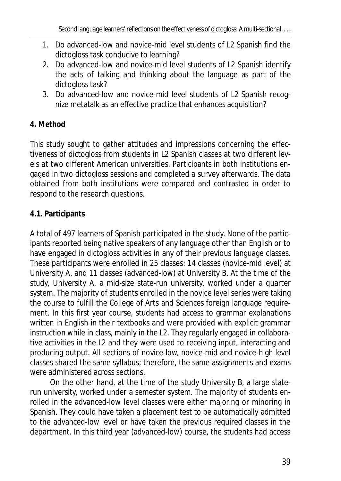- 1. Do advanced-low and novice-mid level students of L2 Spanish find the dictogloss task conducive to learning?
- 2. Do advanced-low and novice-mid level students of L2 Spanish identify the acts of talking and thinking about the language as part of the dictogloss task?
- 3. Do advanced-low and novice-mid level students of L2 Spanish recognize metatalk as an effective practice that enhances acquisition?

# **4. Method**

This study sought to gather attitudes and impressions concerning the effectiveness of dictogloss from students in L2 Spanish classes at two different levels at two different American universities. Participants in both institutions engaged in two dictogloss sessions and completed a survey afterwards. The data obtained from both institutions were compared and contrasted in order to respond to the research questions.

## **4.1. Participants**

A total of 497 learners of Spanish participated in the study. None of the participants reported being native speakers of any language other than English or to have engaged in dictogloss activities in any of their previous language classes. These participants were enrolled in 25 classes: 14 classes (novice-mid level) at University A, and 11 classes (advanced-low) at University B. At the time of the study, University A, a mid-size state-run university, worked under a quarter system. The majority of students enrolled in the novice level series were taking the course to fulfill the College of Arts and Sciences foreign language requirement. In this first year course, students had access to grammar explanations written in English in their textbooks and were provided with explicit grammar instruction while in class, mainly in the L2. They regularly engaged in collaborative activities in the L2 and they were used to receiving input, interacting and producing output. All sections of novice-low, novice-mid and novice-high level classes shared the same syllabus; therefore, the same assignments and exams were administered across sections.

On the other hand, at the time of the study University B, a large staterun university, worked under a semester system. The majority of students enrolled in the advanced-low level classes were either majoring or minoring in Spanish. They could have taken a placement test to be automatically admitted to the advanced-low level or have taken the previous required classes in the department. In this third year (advanced-low) course, the students had access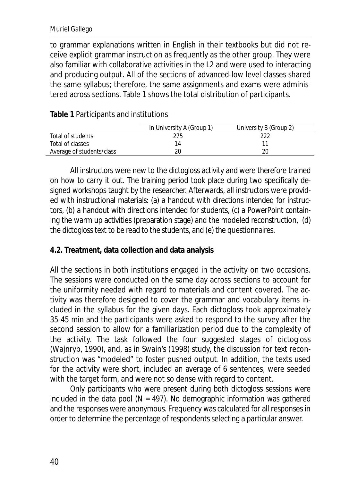to grammar explanations written in English in their textbooks but did not receive explicit grammar instruction as frequently as the other group. They were also familiar with collaborative activities in the L2 and were used to interacting and producing output. All of the sections of advanced-low level classes shared the same syllabus; therefore, the same assignments and exams were administered across sections. Table 1 shows the total distribution of participants.

|                           | In University A (Group 1) | University B (Group 2) |
|---------------------------|---------------------------|------------------------|
| Total of students         | 275                       |                        |
| Total of classes          |                           |                        |
| Average of students/class |                           |                        |

**Table 1** Participants and institutions

All instructors were new to the dictogloss activity and were therefore trained on how to carry it out. The training period took place during two specifically designed workshops taught by the researcher. Afterwards, all instructors were provided with instructional materials: (a) a handout with directions intended for instructors, (b) a handout with directions intended for students, (c) a PowerPoint containing the warm up activities (preparation stage) and the modeled reconstruction, (d) the dictogloss text to be read to the students, and (e) the questionnaires.

## **4.2. Treatment, data collection and data analysis**

All the sections in both institutions engaged in the activity on two occasions. The sessions were conducted on the same day across sections to account for the uniformity needed with regard to materials and content covered. The activity was therefore designed to cover the grammar and vocabulary items included in the syllabus for the given days. Each dictogloss took approximately 35-45 min and the participants were asked to respond to the survey after the second session to allow for a familiarization period due to the complexity of the activity. The task followed the four suggested stages of dictogloss (Wajnryb, 1990), and, as in Swain's (1998) study, the discussion for text reconstruction was "modeled" to foster pushed output. In addition, the texts used for the activity were short, included an average of 6 sentences, were seeded with the target form, and were not so dense with regard to content.

Only participants who were present during both dictogloss sessions were included in the data pool  $(N = 497)$ . No demographic information was gathered and the responses were anonymous. Frequency was calculated for all responses in order to determine the percentage of respondents selecting a particular answer.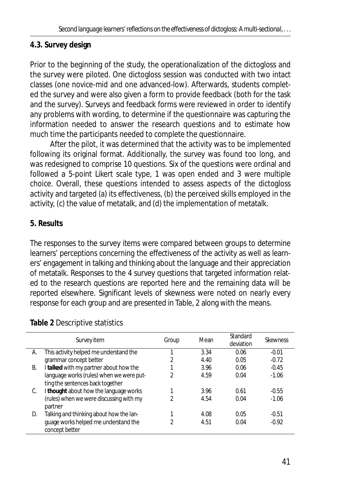## **4.3. Survey design**

Prior to the beginning of the study, the operationalization of the dictogloss and the survey were piloted. One dictogloss session was conducted with two intact classes (one novice-mid and one advanced-low). Afterwards, students completed the survey and were also given a form to provide feedback (both for the task and the survey). Surveys and feedback forms were reviewed in order to identify any problems with wording, to determine if the questionnaire was capturing the information needed to answer the research questions and to estimate how much time the participants needed to complete the questionnaire.

After the pilot, it was determined that the activity was to be implemented following its original format. Additionally, the survey was found too long, and was redesigned to comprise 10 questions. Six of the questions were ordinal and followed a 5-point Likert scale type, 1 was open ended and 3 were multiple choice. Overall, these questions intended to assess aspects of the dictogloss activity and targeted (a) its effectiveness, (b) the perceived skills employed in the activity, (c) the value of metatalk, and (d) the implementation of metatalk.

## **5. Results**

The responses to the survey items were compared between groups to determine learners' perceptions concerning the effectiveness of the activity as well as learners' engagement in talking and thinking about the language and their appreciation of metatalk. Responses to the 4 survey questions that targeted information related to the research questions are reported here and the remaining data will be reported elsewhere. Significant levels of skewness were noted on nearly every response for each group and are presented in Table, 2 along with the means.

|    | Survey item                                            | Group | Mean | Standard<br>deviation | <b>Skewness</b> |
|----|--------------------------------------------------------|-------|------|-----------------------|-----------------|
| А. | This activity helped me understand the                 | 1     | 3.34 | 0.06                  | $-0.01$         |
|    | grammar concept better                                 | 2     | 4.40 | 0.05                  | $-0.72$         |
| В. | I talked with my partner about how the                 |       | 3.96 | 0.06                  | $-0.45$         |
|    | language works (rules) when we were put-               | 2     | 4.59 | 0.04                  | $-1.06$         |
|    | ting the sentences back together                       |       |      |                       |                 |
| C. | I thought about how the language works                 |       | 3.96 | 0.61                  | $-0.55$         |
|    | (rules) when we were discussing with my                | 2     | 4.54 | 0.04                  | $-1.06$         |
|    | partner                                                |       |      |                       |                 |
| D. | Talking and thinking about how the lan-                |       | 4.08 | 0.05                  | $-0.51$         |
|    | guage works helped me understand the<br>concept better |       | 4.51 | 0.04                  | $-0.92$         |
|    |                                                        |       |      |                       |                 |

## **Table 2** Descriptive statistics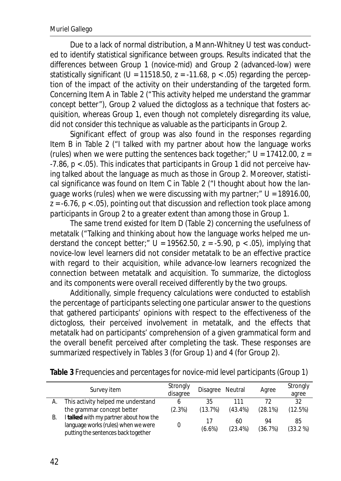Due to a lack of normal distribution, a Mann-Whitney *U* test was conducted to identify statistical significance between groups. Results indicated that the differences between Group 1 (novice-mid) and Group 2 (advanced-low) were statistically significant ( $U = 11518.50$ ,  $z = -11.68$ ,  $p < .05$ ) regarding the perception of the impact of the activity on their understanding of the targeted form. Concerning Item A in Table 2 ("This activity helped me understand the grammar concept better"), Group 2 valued the dictogloss as a technique that fosters acquisition, whereas Group 1, even though not completely disregarding its value, did not consider this technique as valuable as the participants in Group 2.

Significant effect of group was also found in the responses regarding Item B in Table 2 ("I talked with my partner about how the language works (rules) when we were putting the sentences back together;" *U* = 17412.00, *z* = -7.86, *p* < .05). This indicates that participants in Group 1 did not perceive having talked about the language as much as those in Group 2. Moreover, statistical significance was found on Item C in Table 2 ("I thought about how the language works (rules) when we were discussing with my partner;" *U* = 18916.00, *z* = -6.76, *p* < .05), pointing out that discussion and reflection took place among participants in Group 2 to a greater extent than among those in Group 1.

The same trend existed for Item D (Table 2) concerning the usefulness of metatalk ("Talking and thinking about how the language works helped me understand the concept better;"  $U = 19562.50$ ,  $z = -5.90$ ,  $p < .05$ ), implying that novice-low level learners did not consider metatalk to be an effective practice with regard to their acquisition, while advance-low learners recognized the connection between metatalk and acquisition. To summarize, the dictogloss and its components were overall received differently by the two groups.

Additionally, simple frequency calculations were conducted to establish the percentage of participants selecting one particular answer to the questions that gathered participants' opinions with respect to the effectiveness of the dictogloss, their perceived involvement in metatalk, and the effects that metatalk had on participants' comprehension of a given grammatical form and the overall benefit perceived after completing the task. These responses are summarized respectively in Tables 3 (for Group 1) and 4 (for Group 2).

|    | Survey item                                                                                                          | Strongly<br>disagree | Disagree Neutral |                  | Agree         | Strongly<br>agree |
|----|----------------------------------------------------------------------------------------------------------------------|----------------------|------------------|------------------|---------------|-------------------|
|    | This activity helped me understand                                                                                   |                      | 35               | 111              | 72            | 32                |
|    | the grammar concept better                                                                                           | (2.3%)               | (13.7%)          | $(43.4\%)$       | (28.1%)       | (12.5%)           |
| В. | I talked with my partner about how the<br>language works (rules) when we were<br>putting the sentences back together |                      | 17<br>$(6.6\%)$  | 60<br>$(23.4\%)$ | 94<br>(36.7%) | 85<br>$(33.2\%)$  |

**Table 3** Frequencies and percentages for novice-mid level participants (Group 1)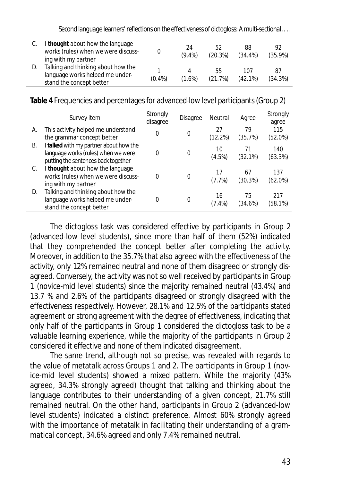| Second language learners' reflections on the effectiveness of dictogloss: A multi-sectional, |  |  |
|----------------------------------------------------------------------------------------------|--|--|
|                                                                                              |  |  |

|    | I thought about how the language<br>works (rules) when we were discuss-<br>ing with my partner    |           | 24<br>$(9.4\%)$ | 52<br>(20.3%) | 88<br>$(34.4\%)$ | 92<br>$(35.9\%)$ |
|----|---------------------------------------------------------------------------------------------------|-----------|-----------------|---------------|------------------|------------------|
| D. | Talking and thinking about how the<br>language works helped me under-<br>stand the concept better | $(0.4\%)$ | $(1.6\%)$       | 55<br>(21.7%) | 107<br>(42.1%)   | 87<br>(34.3%)    |

**Table 4** Frequencies and percentages for advanced-low level participants (Group 2)

|    | Survey item                                                                                       | Strongly<br>disagree | <b>Disagree</b> | Neutral      | Agree         | Strongly<br>agree |
|----|---------------------------------------------------------------------------------------------------|----------------------|-----------------|--------------|---------------|-------------------|
| А. | This activity helped me understand                                                                | $\Omega$             | 0               | 27           | 79            | 115               |
|    | the grammar concept better                                                                        |                      |                 | (12.2%)      | (35.7%)       | $(52.0\%)$        |
| В. | I talked with my partner about how the<br>language works (rules) when we were                     | 0                    | 0               | 10           | 71            | 140               |
|    | putting the sentences back together                                                               |                      |                 | $(4.5\%)$    | (32.1%)       | (63.3%)           |
| C. | I thought about how the language<br>works (rules) when we were discuss-                           | 0                    | $\Omega$        | 17           | 67            | 137               |
|    | ing with my partner                                                                               |                      |                 | (7.7%)       | (30.3%)       | (62.0%)           |
| D. | Talking and thinking about how the<br>language works helped me under-<br>stand the concept better | 0                    | 0               | 16<br>(7.4%) | 75<br>(34.6%) | 217<br>(58.1%)    |

The dictogloss task was considered effective by participants in Group 2 (advanced-low level students), since more than half of them (52%) indicated that they comprehended the concept better after completing the activity. Moreover, in addition to the 35.7% that also agreed with the effectiveness of the activity, only 12% remained neutral and none of them disagreed or strongly disagreed. Conversely, the activity was not so well received by participants in Group 1 (novice-mid level students) since the majority remained neutral (43.4%) and 13.7 % and 2.6% of the participants disagreed or strongly disagreed with the effectiveness respectively. However, 28.1% and 12.5% of the participants stated agreement or strong agreement with the degree of effectiveness, indicating that only half of the participants in Group 1 considered the dictogloss task to be a valuable learning experience, while the majority of the participants in Group 2 considered it effective and none of them indicated disagreement.

The same trend, although not so precise, was revealed with regards to the value of metatalk across Groups 1 and 2. The participants in Group 1 (novice-mid level students) showed a mixed pattern. While the majority (43% agreed, 34.3% strongly agreed) thought that talking and thinking about the language contributes to their understanding of a given concept, 21.7% still remained neutral. On the other hand, participants in Group 2 (advanced-low level students) indicated a distinct preference. Almost 60% strongly agreed with the importance of metatalk in facilitating their understanding of a grammatical concept, 34.6% agreed and only 7.4% remained neutral.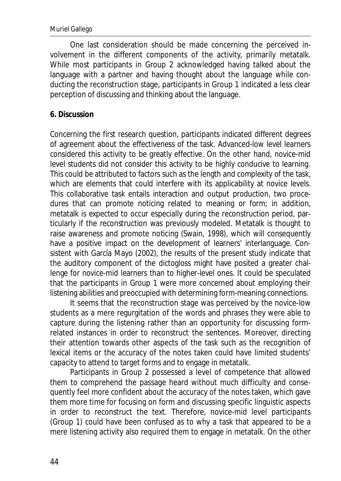One last consideration should be made concerning the perceived involvement in the different components of the activity, primarily metatalk. While most participants in Group 2 acknowledged having talked about the language with a partner and having thought about the language while conducting the reconstruction stage, participants in Group 1 indicated a less clear perception of discussing and thinking about the language.

## **6. Discussion**

Concerning the first research question, participants indicated different degrees of agreement about the effectiveness of the task. Advanced-low level learners considered this activity to be greatly effective. On the other hand, novice-mid level students did not consider this activity to be highly conducive to learning. This could be attributed to factors such as the length and complexity of the task, which are elements that could interfere with its applicability at novice levels. This collaborative task entails interaction and output production, two procedures that can promote noticing related to meaning or form; in addition, metatalk is expected to occur especially during the reconstruction period, particularly if the reconstruction was previously modeled. Metatalk is thought to raise awareness and promote noticing (Swain, 1998), which will consequently have a positive impact on the development of learners' interlanguage. Consistent with García Mayo (2002), the results of the present study indicate that the auditory component of the dictogloss might have posited a greater challenge for novice-mid learners than to higher-level ones. It could be speculated that the participants in Group 1 were more concerned about employing their listening abilities and preoccupied with determining form-meaning connections.

It seems that the reconstruction stage was perceived by the novice-low students as a mere regurgitation of the words and phrases they were able to capture during the listening rather than an opportunity for discussing formrelated instances in order to reconstruct the sentences. Moreover, directing their attention towards other aspects of the task such as the recognition of lexical items or the accuracy of the notes taken could have limited students' capacity to attend to target forms and to engage in metatalk.

Participants in Group 2 possessed a level of competence that allowed them to comprehend the passage heard without much difficulty and consequently feel more confident about the accuracy of the notes taken, which gave them more time for focusing on form and discussing specific linguistic aspects in order to reconstruct the text. Therefore, novice-mid level participants (Group 1) could have been confused as to why a task that appeared to be a mere listening activity also required them to engage in metatalk. On the other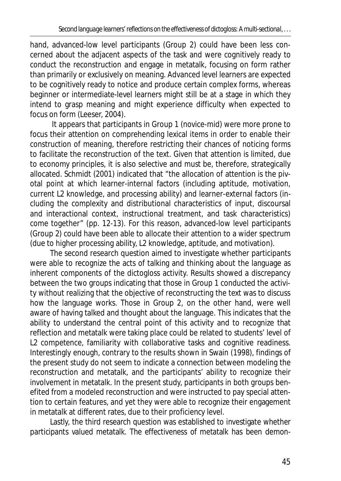hand, advanced-low level participants (Group 2) could have been less concerned about the adjacent aspects of the task and were cognitively ready to conduct the reconstruction and engage in metatalk, focusing on form rather than primarily or exclusively on meaning. Advanced level learners are expected to be cognitively ready to notice and produce certain complex forms, whereas beginner or intermediate-level learners might still be at a stage in which they intend to grasp meaning and might experience difficulty when expected to focus on form (Leeser, 2004).

 It appears that participants in Group 1 (novice-mid) were more prone to focus their attention on comprehending lexical items in order to enable their construction of meaning, therefore restricting their chances of noticing forms to facilitate the reconstruction of the text. Given that attention is limited, due to economy principles, it is also selective and must be, therefore, strategically allocated. Schmidt (2001) indicated that "the allocation of attention is the pivotal point at which learner-internal factors (including aptitude, motivation, current L2 knowledge, and processing ability) and learner-external factors (including the complexity and distributional characteristics of input, discoursal and interactional context, instructional treatment, and task characteristics) come together" (pp. 12-13). For this reason, advanced-low level participants (Group 2) could have been able to allocate their attention to a wider spectrum (due to higher processing ability, L2 knowledge, aptitude, and motivation).

The second research question aimed to investigate whether participants were able to recognize the acts of talking and thinking about the language as inherent components of the dictogloss activity. Results showed a discrepancy between the two groups indicating that those in Group 1 conducted the activity without realizing that the objective of reconstructing the text was to discuss how the language works. Those in Group 2, on the other hand, were well aware of having talked and thought about the language. This indicates that the ability to understand the central point of this activity and to recognize that reflection and metatalk were taking place could be related to students' level of L2 competence, familiarity with collaborative tasks and cognitive readiness. Interestingly enough, contrary to the results shown in Swain (1998), findings of the present study do not seem to indicate a connection between modeling the reconstruction and metatalk, and the participants' ability to recognize their involvement in metatalk. In the present study, participants in both groups benefited from a modeled reconstruction and were instructed to pay special attention to certain features, and yet they were able to recognize their engagement in metatalk at different rates, due to their proficiency level.

Lastly, the third research question was established to investigate whether participants valued metatalk. The effectiveness of metatalk has been demon-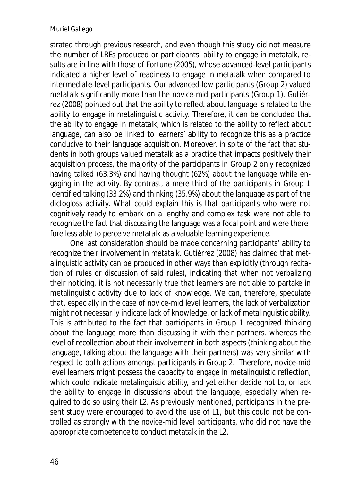strated through previous research, and even though this study did not measure the number of LREs produced or participants' ability to engage in metatalk, results are in line with those of Fortune (2005), whose advanced-level participants indicated a higher level of readiness to engage in metatalk when compared to intermediate-level participants. Our advanced-low participants (Group 2) valued metatalk significantly more than the novice-mid participants (Group 1). Gutiérrez (2008) pointed out that the ability to reflect about language is related to the ability to engage in metalinguistic activity. Therefore, it can be concluded that the ability to engage in metatalk, which is related to the ability to reflect about language, can also be linked to learners' ability to recognize this as a practice conducive to their language acquisition. Moreover, in spite of the fact that students in both groups valued metatalk as a practice that impacts positively their acquisition process, the majority of the participants in Group 2 only recognized having talked (63.3%) and having thought (62%) about the language while engaging in the activity. By contrast, a mere third of the participants in Group 1 identified talking (33.2%) and thinking (35.9%) about the language as part of the dictogloss activity. What could explain this is that participants who were not cognitively ready to embark on a lengthy and complex task were not able to recognize the fact that discussing the language was a focal point and were therefore less able to perceive metatalk as a valuable learning experience.

One last consideration should be made concerning participants' ability to recognize their involvement in metatalk. Gutiérrez (2008) has claimed that metalinguistic activity can be produced in other ways than explicitly (through recitation of rules or discussion of said rules), indicating that when not verbalizing their noticing, it is not necessarily true that learners are not able to partake in metalinguistic activity due to lack of knowledge. We can, therefore, speculate that, especially in the case of novice-mid level learners, the lack of verbalization might not necessarily indicate lack of knowledge, or lack of metalinguistic ability. This is attributed to the fact that participants in Group 1 recognized thinking about the language more than discussing it with their partners, whereas the level of recollection about their involvement in both aspects (thinking about the language, talking about the language with their partners) was very similar with respect to both actions amongst participants in Group 2. Therefore, novice-mid level learners might possess the capacity to engage in metalinguistic reflection, which could indicate metalinguistic ability, and yet either decide not to, or lack the ability to engage in discussions about the language, especially when required to do so using their L2. As previously mentioned, participants in the present study were encouraged to avoid the use of L1, but this could not be controlled as strongly with the novice-mid level participants, who did not have the appropriate competence to conduct metatalk in the L2.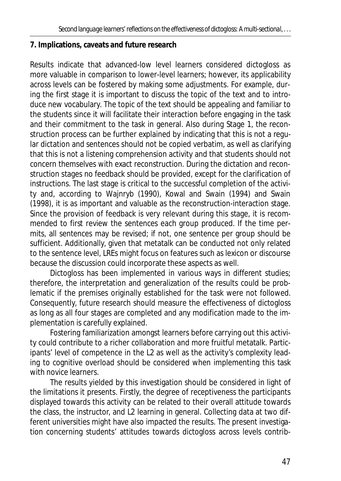## **7. Implications, caveats and future research**

Results indicate that advanced-low level learners considered dictogloss as more valuable in comparison to lower-level learners; however, its applicability across levels can be fostered by making some adjustments. For example, during the first stage it is important to discuss the topic of the text and to introduce new vocabulary. The topic of the text should be appealing and familiar to the students since it will facilitate their interaction before engaging in the task and their commitment to the task in general. Also during Stage 1, the reconstruction process can be further explained by indicating that this is not a regular dictation and sentences should not be copied verbatim, as well as clarifying that this is not a listening comprehension activity and that students should not concern themselves with exact reconstruction. During the dictation and reconstruction stages no feedback should be provided, except for the clarification of instructions. The last stage is critical to the successful completion of the activity and, according to Wajnryb (1990), Kowal and Swain (1994) and Swain (1998), it is as important and valuable as the reconstruction-interaction stage. Since the provision of feedback is very relevant during this stage, it is recommended to first review the sentences each group produced. If the time permits, all sentences may be revised; if not, one sentence per group should be sufficient. Additionally, given that metatalk can be conducted not only related to the sentence level, LREs might focus on features such as lexicon or discourse because the discussion could incorporate these aspects as well.

Dictogloss has been implemented in various ways in different studies; therefore, the interpretation and generalization of the results could be problematic if the premises originally established for the task were not followed. Consequently, future research should measure the effectiveness of dictogloss as long as all four stages are completed and any modification made to the implementation is carefully explained.

Fostering familiarization amongst learners before carrying out this activity could contribute to a richer collaboration and more fruitful metatalk. Participants' level of competence in the L2 as well as the activity's complexity leading to cognitive overload should be considered when implementing this task with novice learners.

The results yielded by this investigation should be considered in light of the limitations it presents. Firstly, the degree of receptiveness the participants displayed towards this activity can be related to their overall attitude towards the class, the instructor, and L2 learning in general. Collecting data at two different universities might have also impacted the results. The present investigation concerning students' attitudes towards dictogloss across levels contrib-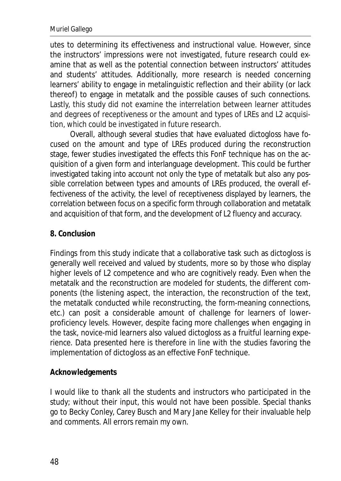utes to determining its effectiveness and instructional value. However, since the instructors' impressions were not investigated, future research could examine that as well as the potential connection between instructors' attitudes and students' attitudes. Additionally, more research is needed concerning learners' ability to engage in metalinguistic reflection and their ability (or lack thereof) to engage in metatalk and the possible causes of such connections. Lastly, this study did not examine the interrelation between learner attitudes and degrees of receptiveness or the amount and types of LREs and L2 acquisition, which could be investigated in future research.

Overall, although several studies that have evaluated dictogloss have focused on the amount and type of LREs produced during the reconstruction stage, fewer studies investigated the effects this FonF technique has on the acquisition of a given form and interlanguage development. This could be further investigated taking into account not only the type of metatalk but also any possible correlation between types and amounts of LREs produced, the overall effectiveness of the activity, the level of receptiveness displayed by learners, the correlation between focus on a specific form through collaboration and metatalk and acquisition of that form, and the development of L2 fluency and accuracy.

### **8. Conclusion**

Findings from this study indicate that a collaborative task such as dictogloss is generally well received and valued by students, more so by those who display higher levels of L2 competence and who are cognitively ready. Even when the metatalk and the reconstruction are modeled for students, the different components (the listening aspect, the interaction, the reconstruction of the text, the metatalk conducted while reconstructing, the form-meaning connections, etc.) can posit a considerable amount of challenge for learners of lowerproficiency levels. However, despite facing more challenges when engaging in the task, novice-mid learners also valued dictogloss as a fruitful learning experience. Data presented here is therefore in line with the studies favoring the implementation of dictogloss as an effective FonF technique.

### **Acknowledgements**

I would like to thank all the students and instructors who participated in the study; without their input, this would not have been possible. Special thanks go to Becky Conley, Carey Busch and Mary Jane Kelley for their invaluable help and comments. All errors remain my own.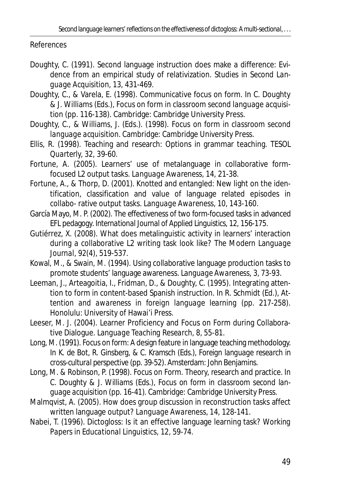References

- Doughty, C. (1991). Second language instruction does make a difference: Evidence from an empirical study of relativization. *Studies in Second Language Acquisition*, *13,* 431-469.
- Doughty, C., & Varela, E. (1998). Communicative focus on form. In C. Doughty & J. Williams (Eds.), *Focus on form in classroom second language acquisition* (pp. 116-138). Cambridge: Cambridge University Press.
- Doughty, C., & Williams, J. (Eds.). (1998). *Focus on form in classroom second language acquisition.* Cambridge: Cambridge University Press.
- Ellis, R. (1998). Teaching and research: Options in grammar teaching. *TESOL Quarterly, 32,* 39-60.
- Fortune, A. (2005). Learners' use of metalanguage in collaborative formfocused L2 output tasks*. Language Awareness, 14,* 21-38.
- Fortune, A., & Thorp, D. (2001). Knotted and entangled: New light on the identification, classification and value of language related episodes in collabo- rative output tasks. *Language Awareness, 10*, 143-160.
- García Mayo, M. P. (2002). The effectiveness of two form-focused tasks in advanced EFL pedagogy. *International Journal of Applied Linguistics, 12,* 156-175.
- Gutiérrez, X. (2008). What does metalinguistic activity in learners' interaction during a collaborative L2 writing task look like? *The Modern Language Journal, 92*(4), 519-537.
- Kowal, M., & Swain, M. (1994). Using collaborative language production tasks to promote students' language awareness. *Language Awareness, 3,* 73-93.
- Leeman, J., Arteagoitia, I., Fridman, D., & Doughty, C. (1995). Integrating attention to form in content-based Spanish instruction. In R. Schmidt (Ed.), *Attention and awareness in foreign language learning* (pp. 217-258). Honolulu: University of Hawai'i Press.
- Leeser, M. J. (2004). Learner Proficiency and Focus on Form during Collaborative Dialogue. *Language Teaching Research*, *8*, 55-81.
- Long, M. (1991). Focus on form: A design feature in language teaching methodology. In K. de Bot, R. Ginsberg, & C. Kramsch (Eds.), *Foreign language research in cross-cultural perspective* (pp. 39-52). Amsterdam: John Benjamins.
- Long, M. & Robinson, P. (1998). Focus on Form. Theory, research and practice. In C. Doughty & J. Williams (Eds.), *Focus on form in classroom second language acquisition* (pp. 16-41). Cambridge: Cambridge University Press.
- Malmqvist, A. (2005). How does group discussion in reconstruction tasks affect written language output? *Language Awareness, 14,* 128-141.
- Nabei, T. (1996). Dictogloss: Is it an effective language learning task? *Working Papers in Educational Linguistics, 12,* 59-74.